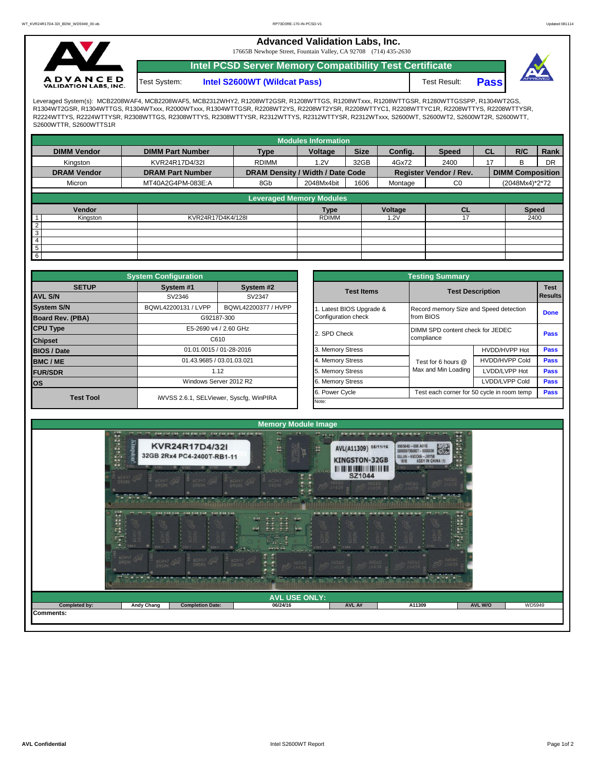**Advanced Validation Labs, Inc.** 

17665B Newhope Street, Fountain Valley, CA 92708 (714) 435-2630



**Intel PCSD Server Memory Compatibility Test Certificate**



Test System: **Intel S2600WT (Wildcat Pass)** Test Result: **Pass** 

Leveraged System(s): MCB2208WAF4, MCB2208WAF5, MCB2312WHY2, R1208WT2GSR, R1208WTTGS, R1208WTxxx, R1208WTTGSR, R1280WTTGSSPP, R1304WT2GS, R1304WT2GSR, R1304WTTGS, R1304WTxxx, R2000WTxxx, R1304WTTGSR, R2208WT2YS, R2208WT2YSR, R2208WTTYC1, R2208WTTYC1R, R2208WTTYS, R2208WTTYSR, R2224WTTYS, R2224WTTYSR, R2308WTTGS, R2308WTTYS, R2308WTTYSR, R2312WTTYS, R2312WTTYSR, R2312WTxxx, S2600WT, S2600WT2, S2600WT2R, S2600WTT, S2600WTTR, S2600WTTS1R

|                    |                         |                                  | <b>Modules Information</b> |              |         |                               |           |                         |           |
|--------------------|-------------------------|----------------------------------|----------------------------|--------------|---------|-------------------------------|-----------|-------------------------|-----------|
| <b>DIMM Vendor</b> | <b>DIMM Part Number</b> | <b>Type</b>                      | Voltage                    | <b>Size</b>  | Config. | <b>Speed</b>                  | <b>CL</b> | R/C                     | Rank      |
| Kingston           | KVR24R17D4/32I          | <b>RDIMM</b>                     | 1.2V                       | 32GB         | 4Gx72   | 2400                          | 17        | B                       | <b>DR</b> |
| <b>DRAM Vendor</b> | <b>DRAM Part Number</b> | DRAM Density / Width / Date Code |                            |              |         | <b>Register Vendor / Rev.</b> |           | <b>DIMM Composition</b> |           |
| Micron             | MT40A2G4PM-083E:A       | 8Gb                              | 2048Mx4bit                 | 1606         | Montage | C <sub>0</sub>                |           | (2048Mx4)*2*72          |           |
|                    |                         | <b>Leveraged Memory Modules</b>  |                            |              |         |                               |           |                         |           |
|                    |                         |                                  |                            |              |         |                               |           |                         |           |
| Vendor             |                         |                                  | <b>Type</b>                |              | Voltage | <b>CL</b>                     |           | <b>Speed</b>            |           |
| Kingston           |                         | KVR24R17D4K4/128I                |                            | <b>RDIMM</b> |         | 17                            |           | 2400                    |           |
| $\overline{2}$     |                         |                                  |                            |              |         |                               |           |                         |           |
| 3                  |                         |                                  |                            |              |         |                               |           |                         |           |
| 4                  |                         |                                  |                            |              |         |                               |           |                         |           |
| $\overline{5}$     |                         |                                  |                            |              |         |                               |           |                         |           |
| 6                  |                         |                                  |                            |              |         |                               |           |                         |           |

|                         | <b>System Configuration</b>                |                                         | <b>Testing Summary</b> |                                        |                                            |             |  |  |  |  |  |  |
|-------------------------|--------------------------------------------|-----------------------------------------|------------------------|----------------------------------------|--------------------------------------------|-------------|--|--|--|--|--|--|
| <b>SETUP</b>            | System #1                                  | System #2                               | <b>Test Items</b>      | <b>Test Description</b>                |                                            |             |  |  |  |  |  |  |
| <b>AVL S/N</b>          | SV2346<br>SV2347                           |                                         |                        |                                        | <b>Results</b>                             |             |  |  |  |  |  |  |
| <b>System S/N</b>       | BQWL42200131 / LVPP<br>BQWL42200377 / HVPP |                                         | Latest BIOS Upgrade &  | Record memory Size and Speed detection | <b>Done</b>                                |             |  |  |  |  |  |  |
| <b>Board Rev. (PBA)</b> |                                            | G92187-300                              | Configuration check    | from BIOS                              |                                            |             |  |  |  |  |  |  |
| <b>CPU Type</b>         |                                            | E5-2690 v4 / 2.60 GHz                   | 2. SPD Check           | DIMM SPD content check for JEDEC       |                                            |             |  |  |  |  |  |  |
| <b>Chipset</b>          |                                            | C610                                    |                        | compliance                             | <b>Pass</b>                                |             |  |  |  |  |  |  |
| <b>BIOS / Date</b>      |                                            | 01.01.0015 / 01-28-2016                 | 3. Memory Stress       |                                        | HVDD/HVPP Hot                              |             |  |  |  |  |  |  |
| <b>BMC/ME</b>           | 01.43.9685 / 03.01.03.021<br>1.12          |                                         | 4. Memory Stress       | Test for 6 hours @                     | <b>HVDD/HVPP Cold</b>                      | <b>Pass</b> |  |  |  |  |  |  |
| <b>FUR/SDR</b>          |                                            |                                         | 5. Memory Stress       | Max and Min Loading                    | LVDD/LVPP Hot                              | Pass        |  |  |  |  |  |  |
| <b>los</b>              |                                            | Windows Server 2012 R2                  | 6. Memory Stress       |                                        | LVDD/LVPP Cold                             | Pass        |  |  |  |  |  |  |
| <b>Test Tool</b>        |                                            | iWVSS 2.6.1, SELViewer, Syscfq, WinPIRA | 6. Power Cycle         |                                        | Test each corner for 50 cycle in room temp | <b>Pass</b> |  |  |  |  |  |  |
|                         |                                            |                                         | Note:                  |                                        |                                            |             |  |  |  |  |  |  |

|              | <b>System Configuration</b> |                                         | <b>Testing Summary</b> |                                            |                                                |             |  |  |  |  |  |  |
|--------------|-----------------------------|-----------------------------------------|------------------------|--------------------------------------------|------------------------------------------------|-------------|--|--|--|--|--|--|
| <b>SETUP</b> | System #1                   | System #2                               | <b>Test Items</b>      |                                            | <b>Test Description</b>                        |             |  |  |  |  |  |  |
|              | SV2346<br>SV2347            |                                         |                        |                                            |                                                |             |  |  |  |  |  |  |
|              | BQWL42200131 / LVPP         | BQWL42200377 / HVPP                     | Latest BIOS Upgrade &  | Record memory Size and Speed detection     |                                                | <b>Done</b> |  |  |  |  |  |  |
| PBA)         |                             | G92187-300                              | Configuration check    | from BIOS                                  |                                                |             |  |  |  |  |  |  |
|              |                             | E5-2690 v4 / 2.60 GHz                   | 2. SPD Check           |                                            | DIMM SPD content check for JEDEC<br>compliance |             |  |  |  |  |  |  |
|              |                             | C610                                    |                        |                                            |                                                |             |  |  |  |  |  |  |
|              |                             | 01.01.0015 / 01-28-2016                 | 3. Memory Stress       |                                            | HVDD/HVPP Hot                                  | Pass        |  |  |  |  |  |  |
|              |                             | 01.43.9685 / 03.01.03.021               | 4. Memory Stress       | Test for 6 hours @                         | <b>HVDD/HVPP Cold</b>                          | Pass        |  |  |  |  |  |  |
|              |                             | 1.12                                    |                        | Max and Min Loading                        | LVDD/LVPP Hot                                  | Pass        |  |  |  |  |  |  |
|              |                             | Windows Server 2012 R2                  | 6. Memory Stress       |                                            | LVDD/LVPP Cold                                 |             |  |  |  |  |  |  |
|              |                             |                                         | 6. Power Cycle         | Test each corner for 50 cycle in room temp |                                                |             |  |  |  |  |  |  |
| est Tool     |                             | iWVSS 2.6.1, SELViewer, Syscfq, WinPIRA | Note:                  |                                            |                                                |             |  |  |  |  |  |  |